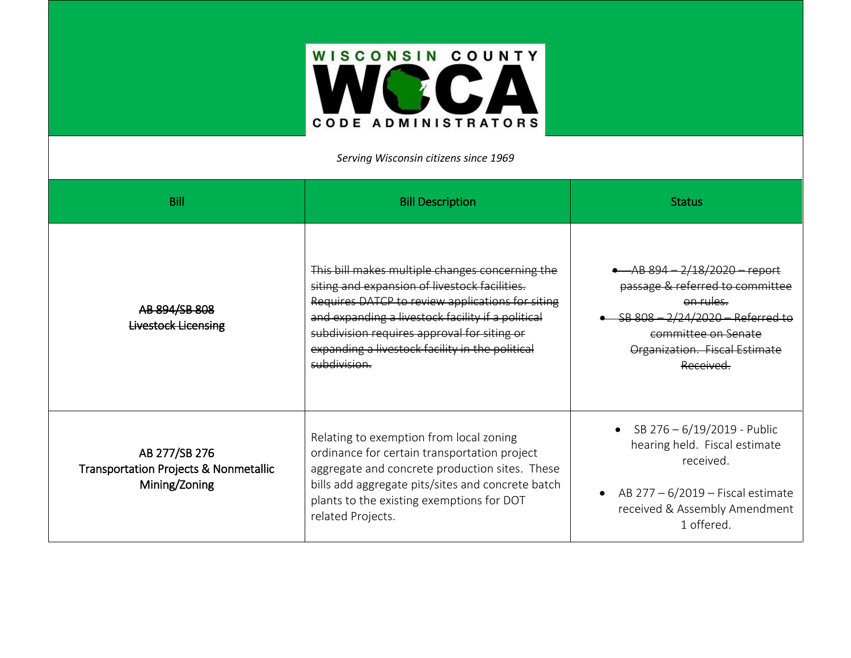

*Serving Wisconsin citizens since 1969*

| Bill                                                                               | <b>Bill Description</b>                                                                                                                                                                                                                                                                                                     | <b>Status</b>                                                                                                                                                                           |
|------------------------------------------------------------------------------------|-----------------------------------------------------------------------------------------------------------------------------------------------------------------------------------------------------------------------------------------------------------------------------------------------------------------------------|-----------------------------------------------------------------------------------------------------------------------------------------------------------------------------------------|
| AB 894/SB 808<br><b>Livestock Licensing</b>                                        | This bill makes multiple changes concerning the<br>siting and expansion of livestock facilities.<br>Requires DATCP to review applications for siting<br>and expanding a livestock facility if a political<br>subdivision requires approval for siting or<br>expanding a livestock facility in the political<br>subdivision. | AB 894-2/18/2020-report<br>passage & referred to committee<br><del>on rules.</del><br>SB 808-2/24/2020-Referred to<br>committee on Senate<br>Organization. Fiscal Estimate<br>Received. |
| AB 277/SB 276<br><b>Transportation Projects &amp; Nonmetallic</b><br>Mining/Zoning | Relating to exemption from local zoning<br>ordinance for certain transportation project<br>aggregate and concrete production sites. These<br>bills add aggregate pits/sites and concrete batch<br>plants to the existing exemptions for DOT<br>related Projects.                                                            | • SB $276 - 6/19/2019$ - Public<br>hearing held. Fiscal estimate<br>received.<br>AB 277 - 6/2019 - Fiscal estimate<br>received & Assembly Amendment<br>1 offered.                       |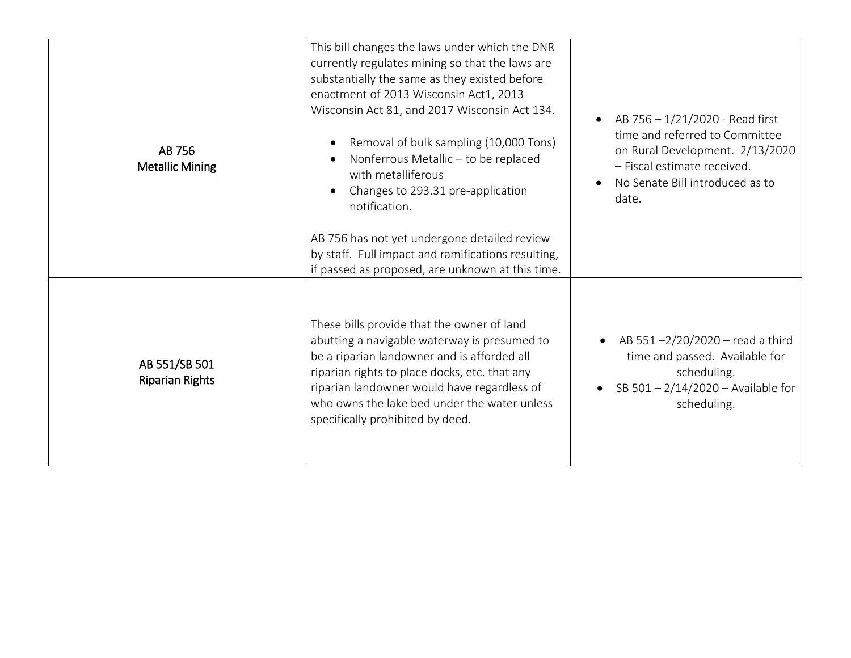| AB 756<br><b>Metallic Mining</b>        | This bill changes the laws under which the DNR<br>currently regulates mining so that the laws are<br>substantially the same as they existed before<br>enactment of 2013 Wisconsin Act1, 2013<br>Wisconsin Act 81, and 2017 Wisconsin Act 134.<br>Removal of bulk sampling (10,000 Tons)<br>Nonferrous Metallic - to be replaced<br>with metalliferous<br>Changes to 293.31 pre-application<br>notification.<br>AB 756 has not yet undergone detailed review<br>by staff. Full impact and ramifications resulting,<br>if passed as proposed, are unknown at this time. | AB 756 - 1/21/2020 - Read first<br>$\bullet$<br>time and referred to Committee<br>on Rural Development. 2/13/2020<br>- Fiscal estimate received.<br>No Senate Bill introduced as to<br>date. |
|-----------------------------------------|-----------------------------------------------------------------------------------------------------------------------------------------------------------------------------------------------------------------------------------------------------------------------------------------------------------------------------------------------------------------------------------------------------------------------------------------------------------------------------------------------------------------------------------------------------------------------|----------------------------------------------------------------------------------------------------------------------------------------------------------------------------------------------|
| AB 551/SB 501<br><b>Riparian Rights</b> | These bills provide that the owner of land<br>abutting a navigable waterway is presumed to<br>be a riparian landowner and is afforded all<br>riparian rights to place docks, etc. that any<br>riparian landowner would have regardless of<br>who owns the lake bed under the water unless<br>specifically prohibited by deed.                                                                                                                                                                                                                                         | AB 551-2/20/2020 - read a third<br>time and passed. Available for<br>scheduling.<br>SB $501 - 2/14/2020 -$ Available for<br>scheduling.                                                      |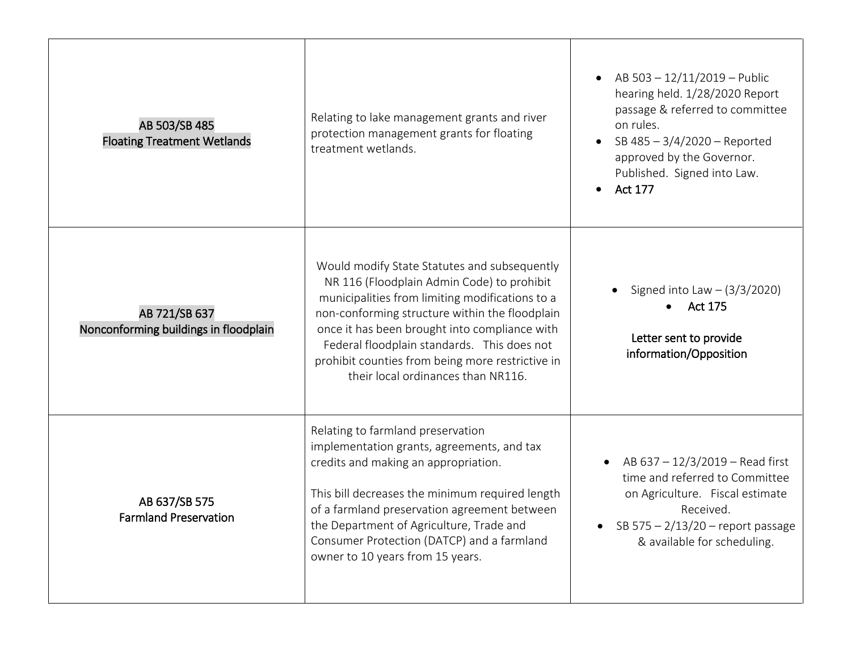| AB 503/SB 485<br><b>Floating Treatment Wetlands</b>    | Relating to lake management grants and river<br>protection management grants for floating<br>treatment wetlands.                                                                                                                                                                                                                                                                          | AB 503 - 12/11/2019 - Public<br>hearing held. 1/28/2020 Report<br>passage & referred to committee<br>on rules.<br>SB 485 - 3/4/2020 - Reported<br>$\bullet$<br>approved by the Governor.<br>Published. Signed into Law.<br><b>Act 177</b> |
|--------------------------------------------------------|-------------------------------------------------------------------------------------------------------------------------------------------------------------------------------------------------------------------------------------------------------------------------------------------------------------------------------------------------------------------------------------------|-------------------------------------------------------------------------------------------------------------------------------------------------------------------------------------------------------------------------------------------|
| AB 721/SB 637<br>Nonconforming buildings in floodplain | Would modify State Statutes and subsequently<br>NR 116 (Floodplain Admin Code) to prohibit<br>municipalities from limiting modifications to a<br>non-conforming structure within the floodplain<br>once it has been brought into compliance with<br>Federal floodplain standards. This does not<br>prohibit counties from being more restrictive in<br>their local ordinances than NR116. | Signed into Law $-$ (3/3/2020)<br><b>Act 175</b><br>$\bullet$<br>Letter sent to provide<br>information/Opposition                                                                                                                         |
| AB 637/SB 575<br><b>Farmland Preservation</b>          | Relating to farmland preservation<br>implementation grants, agreements, and tax<br>credits and making an appropriation.<br>This bill decreases the minimum required length<br>of a farmland preservation agreement between<br>the Department of Agriculture, Trade and<br>Consumer Protection (DATCP) and a farmland<br>owner to 10 years from 15 years.                                  | • AB $637 - 12/3/2019$ – Read first<br>time and referred to Committee<br>on Agriculture. Fiscal estimate<br>Received.<br>SB $575 - 2/13/20$ – report passage<br>$\bullet$<br>& available for scheduling.                                  |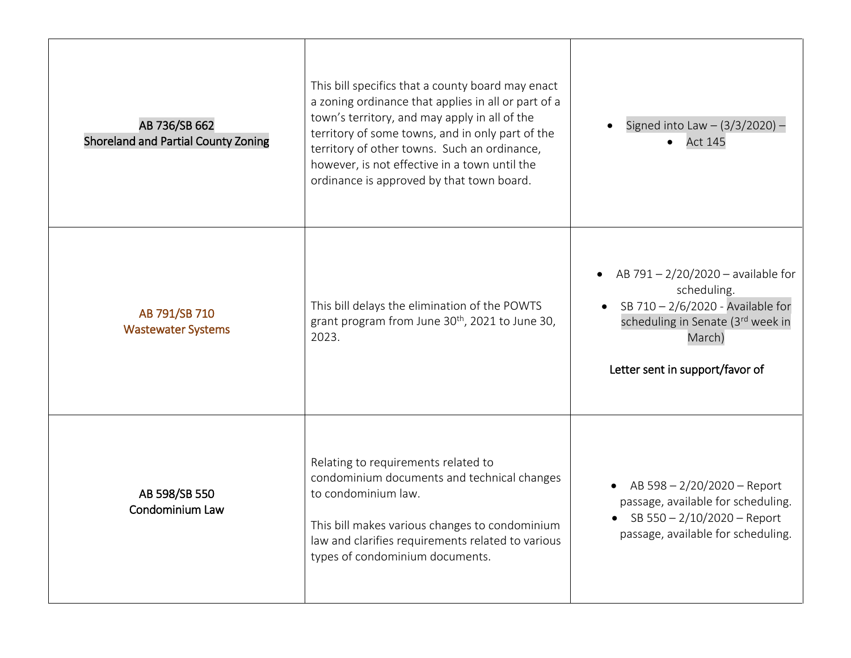| AB 736/SB 662<br>Shoreland and Partial County Zoning | This bill specifics that a county board may enact<br>a zoning ordinance that applies in all or part of a<br>town's territory, and may apply in all of the<br>territory of some towns, and in only part of the<br>territory of other towns. Such an ordinance,<br>however, is not effective in a town until the<br>ordinance is approved by that town board. | Signed into Law $- (3/3/2020) -$<br><b>Act 145</b>                                                                                                                       |
|------------------------------------------------------|-------------------------------------------------------------------------------------------------------------------------------------------------------------------------------------------------------------------------------------------------------------------------------------------------------------------------------------------------------------|--------------------------------------------------------------------------------------------------------------------------------------------------------------------------|
| AB 791/SB 710<br><b>Wastewater Systems</b>           | This bill delays the elimination of the POWTS<br>grant program from June $30^{th}$ , 2021 to June 30,<br>2023.                                                                                                                                                                                                                                              | AB 791 - 2/20/2020 - available for<br>scheduling.<br>SB 710 - 2/6/2020 - Available for<br>scheduling in Senate (3rd week in<br>March)<br>Letter sent in support/favor of |
| AB 598/SB 550<br>Condominium Law                     | Relating to requirements related to<br>condominium documents and technical changes<br>to condominium law.<br>This bill makes various changes to condominium<br>law and clarifies requirements related to various<br>types of condominium documents.                                                                                                         | AB 598 - 2/20/2020 - Report<br>passage, available for scheduling.<br>• SB $550 - 2/10/2020$ - Report<br>passage, available for scheduling.                               |